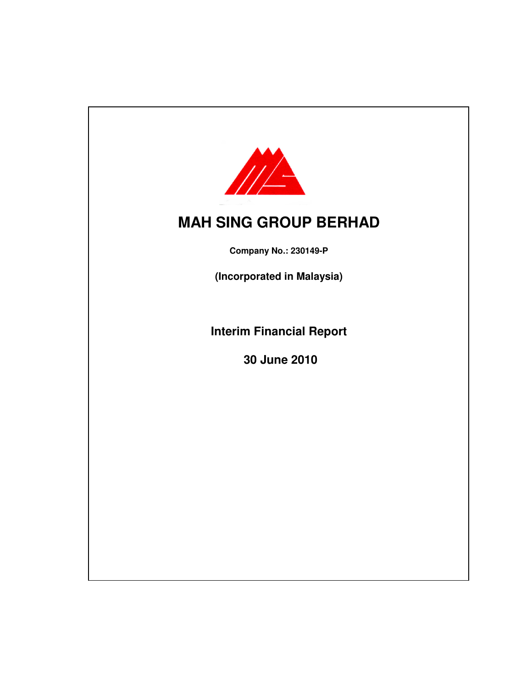

**Company No.: 230149-P**

**(Incorporated in Malaysia)**

**Interim Financial Report**

**30 June 2010**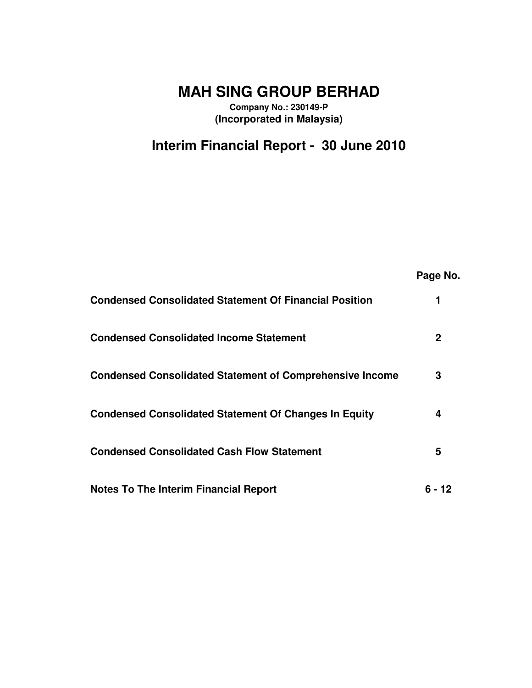**Company No.: 230149-P (Incorporated in Malaysia)**

# **Interim Financial Report - 30 June 2010**

|                                                                 | Page No. |
|-----------------------------------------------------------------|----------|
| <b>Condensed Consolidated Statement Of Financial Position</b>   | 1        |
| <b>Condensed Consolidated Income Statement</b>                  | 2        |
| <b>Condensed Consolidated Statement of Comprehensive Income</b> | 3        |
| <b>Condensed Consolidated Statement Of Changes In Equity</b>    | 4        |
| <b>Condensed Consolidated Cash Flow Statement</b>               | 5        |
| <b>Notes To The Interim Financial Report</b>                    | հ - 12   |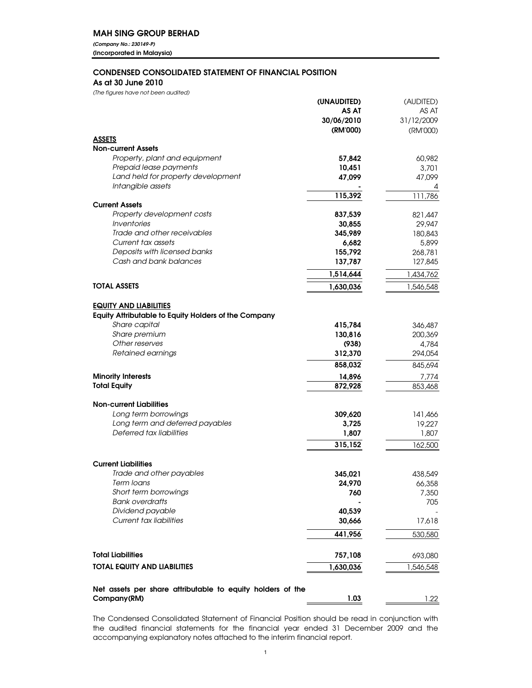*(Company No.: 230149-P)* (Incorporated in Malaysia)

### CONDENSED CONSOLIDATED STATEMENT OF FINANCIAL POSITION

As at 30 June 2010

*(The figures have not been audited)*

|                                                             | (UNAUDITED)       | (AUDITED)         |
|-------------------------------------------------------------|-------------------|-------------------|
|                                                             | AS AT             | AS AT             |
|                                                             | 30/06/2010        | 31/12/2009        |
|                                                             | (RM'000)          | (RM'000)          |
| <b>ASSETS</b>                                               |                   |                   |
| <b>Non-current Assets</b>                                   |                   |                   |
| Property, plant and equipment                               | 57,842            | 60,982            |
| Prepaid lease payments                                      | 10,451            | 3,701             |
| Land held for property development                          | 47,099            | 47,099            |
| Intangible assets                                           |                   | 4                 |
|                                                             | 115,392           | 111,786           |
| <b>Current Assets</b><br>Property development costs         |                   |                   |
| Inventories                                                 | 837,539<br>30,855 | 821,447           |
| Trade and other receivables                                 | 345,989           | 29,947<br>180,843 |
| Current tax assets                                          | 6,682             | 5,899             |
| Deposits with licensed banks                                | 155,792           | 268,781           |
| Cash and bank balances                                      | 137,787           | 127,845           |
|                                                             |                   |                   |
|                                                             | 1,514,644         | 1,434,762         |
| <b>TOTAL ASSETS</b>                                         | 1,630,036         | 1,546,548         |
| <b>EQUITY AND LIABILITIES</b>                               |                   |                   |
| <b>Equity Attributable to Equity Holders of the Company</b> |                   |                   |
| Share capital                                               | 415,784           | 346,487           |
| Share premium                                               | 130,816           | 200,369           |
| Other reserves                                              | (938)             | 4,784             |
| Retained earnings                                           | 312,370           | 294,054           |
|                                                             | 858,032           | 845,694           |
| <b>Minority Interests</b>                                   | 14,896            | 7,774             |
| <b>Total Equity</b>                                         | 872,928           | 853,468           |
| <b>Non-current Liabilities</b>                              |                   |                   |
| Long term borrowings                                        | 309,620           | 141,466           |
| Long term and deferred payables                             | 3,725             | 19,227            |
| Deferred tax liabilities                                    | 1,807             | 1,807             |
|                                                             | 315,152           | 162,500           |
|                                                             |                   |                   |
| <b>Current Liabilities</b>                                  |                   |                   |
| Trade and other payables                                    | 345,021           | 438,549           |
| Term Ioans                                                  | 24,970            | 66,358            |
| Short term borrowings                                       | 760               | 7,350             |
| <b>Bank overdrafts</b>                                      |                   | 705               |
| Dividend payable                                            | 40,539            |                   |
| Current tax liabilities                                     | 30,666            | 17,618            |
|                                                             | 441,956           | 530,580           |
| <b>Total Liabilities</b>                                    | 757,108           | 693,080           |
| <b>TOTAL EQUITY AND LIABILITIES</b>                         | 1,630,036         | ,546,548          |
|                                                             |                   |                   |
| Net assets per share attributable to equity holders of the  |                   |                   |
| Company(RM)                                                 | 1.03              | 1.22              |

The Condensed Consolidated Statement of Financial Position should be read in conjunction with the audited financial statements for the financial year ended 31 December 2009 and the accompanying explanatory notes attached to the interim financial report.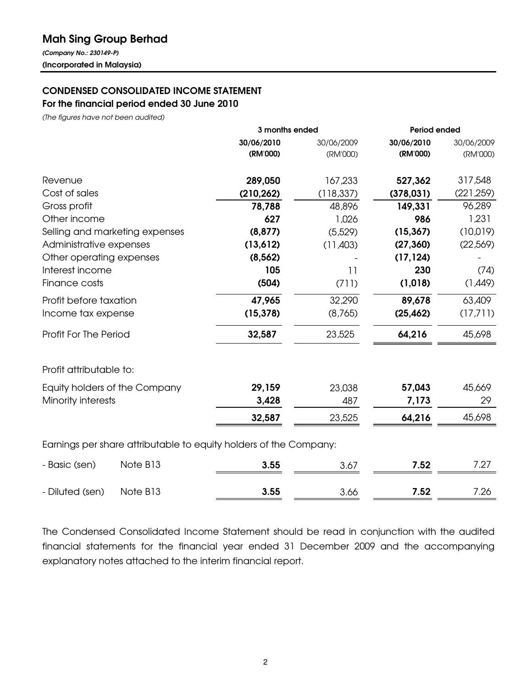# Mah Sing Group Berhad

*(Company No.: 230149-P)* (Incorporated in Malaysia)

## CONDENSED CONSOLIDATED INCOME STATEMENT For the financial period ended 30 June 2010

*(The figures have not been audited)*

|                                                                   | 3 months ended |            | Period ended |            |  |
|-------------------------------------------------------------------|----------------|------------|--------------|------------|--|
|                                                                   | 30/06/2010     | 30/06/2009 | 30/06/2010   | 30/06/2009 |  |
|                                                                   | (RM'000)       | (RM'000)   | (RM'000)     | (RM'000)   |  |
| Revenue                                                           | 289,050        | 167,233    | 527,362      | 317,548    |  |
| Cost of sales                                                     | (210, 262)     | (118,337)  | (378, 031)   | (221, 259) |  |
| Gross profit                                                      | 78,788         | 48,896     | 149,331      | 96,289     |  |
| Other income                                                      | 627            | 1,026      | 986          | 1,231      |  |
| Selling and marketing expenses                                    | (8, 877)       | (5,529)    | (15, 367)    | (10,019)   |  |
| Administrative expenses                                           | (13,612)       | (11,403)   | (27, 360)    | (22,569)   |  |
| Other operating expenses                                          | (8, 562)       |            | (17, 124)    |            |  |
| Interest income                                                   | 105            | 11         | 230          | (74)       |  |
| Finance costs                                                     | (504)          | (711)      | (1, 018)     | (1,449)    |  |
| Profit before taxation                                            | 47,965         | 32,290     | 89,678       | 63,409     |  |
| Income tax expense                                                | (15, 378)      | (8,765)    | (25, 462)    | (17,711)   |  |
| Profit For The Period                                             | 32,587         | 23,525     | 64,216       | 45,698     |  |
| Profit attributable to:                                           |                |            |              |            |  |
| Equity holders of the Company                                     | 29,159         | 23,038     | 57,043       | 45,669     |  |
| Minority interests                                                | 3,428          | 487        | 7,173        | 29         |  |
|                                                                   | 32,587         | 23,525     | 64,216       | 45,698     |  |
| Earnings per share attributable to equity holders of the Company: |                |            |              |            |  |

| - Basic (sen)   | Note B <sub>13</sub> | 3.55 | 3.67 | 7.52 |      |
|-----------------|----------------------|------|------|------|------|
| - Diluted (sen) | Note B13             | 3.55 | 3.66 | 7.52 | 7.26 |

The Condensed Consolidated Income Statement should be read in conjunction with the audited financial statements for the financial year ended 31 December 2009 and the accompanying explanatory notes attached to the interim financial report.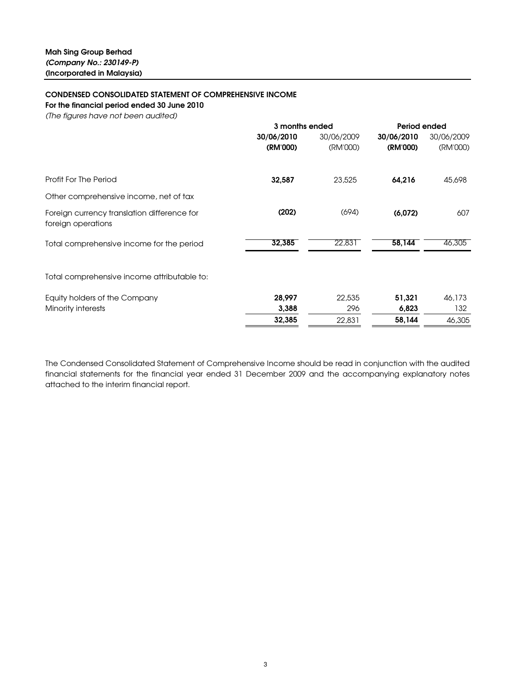### CONDENSED CONSOLIDATED STATEMENT OF COMPREHENSIVE INCOME

For the financial period ended 30 June 2010

*(The figures have not been audited)*

| 30/06/2010<br>30/06/2010<br>30/06/2009<br>(RM'000)<br>(RM'000)<br>(RM'000)<br>Profit For The Period<br>23,525<br>64,216<br>45,698<br>32,587<br>Other comprehensive income, net of tax<br>(202)<br>(694)<br>(6,072)<br>Foreign currency translation difference for<br>foreign operations<br>32,385<br>22,831<br>58,144<br>46,305<br>Total comprehensive income for the period<br>Total comprehensive income attributable to:<br>28,997<br>22,535<br>51,321<br>Equity holders of the Company<br>46,173<br>Minority interests<br>3,388<br>132<br>6,823<br>296<br>32,385<br>58,144<br>22,831 | 3 months ended | Period ended |            |
|------------------------------------------------------------------------------------------------------------------------------------------------------------------------------------------------------------------------------------------------------------------------------------------------------------------------------------------------------------------------------------------------------------------------------------------------------------------------------------------------------------------------------------------------------------------------------------------|----------------|--------------|------------|
|                                                                                                                                                                                                                                                                                                                                                                                                                                                                                                                                                                                          |                |              | 30/06/2009 |
|                                                                                                                                                                                                                                                                                                                                                                                                                                                                                                                                                                                          |                |              | (RM'000)   |
|                                                                                                                                                                                                                                                                                                                                                                                                                                                                                                                                                                                          |                |              |            |
|                                                                                                                                                                                                                                                                                                                                                                                                                                                                                                                                                                                          |                |              |            |
|                                                                                                                                                                                                                                                                                                                                                                                                                                                                                                                                                                                          |                |              | 607        |
|                                                                                                                                                                                                                                                                                                                                                                                                                                                                                                                                                                                          |                |              |            |
|                                                                                                                                                                                                                                                                                                                                                                                                                                                                                                                                                                                          |                |              |            |
|                                                                                                                                                                                                                                                                                                                                                                                                                                                                                                                                                                                          |                |              |            |
|                                                                                                                                                                                                                                                                                                                                                                                                                                                                                                                                                                                          |                |              |            |
|                                                                                                                                                                                                                                                                                                                                                                                                                                                                                                                                                                                          |                |              | 46,305     |

The Condensed Consolidated Statement of Comprehensive Income should be read in conjunction with the audited financial statements for the financial year ended 31 December 2009 and the accompanying explanatory notes attached to the interim financial report.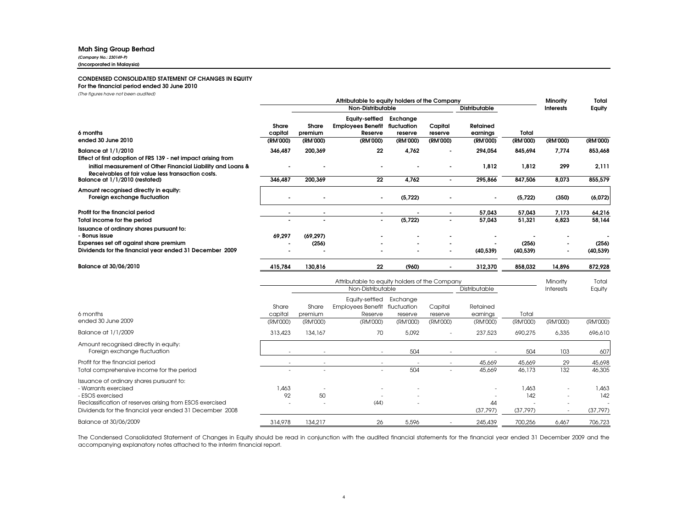#### Mah Sing Group Berhad

*(Company No.: 230149-P)* (Incorporated in Malaysia)

#### CONDENSED CONSOLIDATED STATEMENT OF CHANGES IN EQUITY

#### For the financial period ended 30 June 2010

*(The figures have not been audited)*

|                                                                                                                                                  |                     |                          | Attributable to equity holders of the Company     |                          |                     |                      |                   | Minority         | Total        |
|--------------------------------------------------------------------------------------------------------------------------------------------------|---------------------|--------------------------|---------------------------------------------------|--------------------------|---------------------|----------------------|-------------------|------------------|--------------|
|                                                                                                                                                  |                     |                          | <b>Non-Distributable</b>                          |                          |                     | <b>Distributable</b> |                   | <b>Interests</b> | Equity       |
|                                                                                                                                                  | Share               | Share                    | <b>Equity-settled</b><br><b>Employees Benefit</b> | Exchange<br>fluctuation  | Capital             | Retained             |                   |                  |              |
| 6 months<br>ended 30 June 2010                                                                                                                   | capital             | premium                  | Reserve                                           | reserve                  | reserve             | earnings             | Total             |                  |              |
|                                                                                                                                                  | (RM'000)            | (RM'000)                 | (RM'000)                                          | (RM'000)                 | (RM'000)            | (RM'000)             | (RM'000)          | (RM'000)         | (RM'000)     |
| <b>Balance at 1/1/2010</b>                                                                                                                       | 346,487             | 200,369                  | 22                                                | 4,762                    |                     | 294,054              | 845.694           | 7,774            | 853,468      |
| Effect of first adoption of FRS 139 - net impact arising from<br>initial measurement of Other Financial Liability and Loans &                    |                     |                          |                                                   |                          |                     | 1,812                | 1,812             | 299              | 2,111        |
| Receivables at fair value less transaction costs.<br>Balance at 1/1/2010 (restated)                                                              | 346,487             | 200,369                  | 22                                                | 4,762                    | $\blacksquare$      | 295,866              | 847,506           | 8,073            | 855,579      |
| Amount recognised directly in equity:<br>Foreign exchange fluctuation                                                                            |                     |                          |                                                   | (5,722)                  |                     |                      | (5,722)           | (350)            | (6,072)      |
| Profit for the financial period                                                                                                                  |                     |                          |                                                   |                          |                     | 57,043               | 57,043            | 7,173            | 64,216       |
| Total income for the period                                                                                                                      |                     |                          |                                                   | (5,722)                  | L.                  | 57,043               | 51,321            | 6,823            | 58,144       |
| Issuance of ordinary shares pursuant to:<br>- Bonus issue                                                                                        | 69,297              | (69, 297)                |                                                   |                          |                     |                      |                   |                  |              |
| Expenses set off against share premium                                                                                                           |                     | (256)                    |                                                   |                          |                     |                      | (256)             |                  | (256)        |
| Dividends for the financial year ended 31 December 2009                                                                                          |                     |                          |                                                   |                          |                     | (40, 539)            | (40, 539)         |                  | (40, 539)    |
| Balance at 30/06/2010                                                                                                                            | 415,784             | 130,816                  | 22                                                | (960)                    |                     | 312,370              | 858,032           | 14,896           | 872,928      |
|                                                                                                                                                  |                     |                          | Attributable to equity holders of the Company     |                          |                     |                      |                   | Minority         | Total        |
|                                                                                                                                                  |                     |                          | Non-Distributable                                 |                          |                     | Distributable        |                   | <b>Interests</b> | Equity       |
|                                                                                                                                                  |                     |                          | Equity-settled                                    | Exchange                 |                     |                      |                   |                  |              |
|                                                                                                                                                  | Share               | Share                    | <b>Employees Benefit</b>                          | fluctuation              | Capital             | Retained             |                   |                  |              |
| 6 months<br>ended 30 June 2009                                                                                                                   | capital<br>(RM'000) | premium<br>(RM'000)      | Reserve<br>(RM'000)                               | reserve<br>(RM'000)      | reserve<br>(RM'000) | earnings<br>(RM'000) | Total<br>(RM'000) | (RM'000)         | (RM'000)     |
|                                                                                                                                                  |                     |                          |                                                   |                          |                     |                      |                   |                  |              |
| Balance at 1/1/2009                                                                                                                              | 313,423             | 134,167                  | 70                                                | 5.092                    |                     | 237,523              | 690.275           | 6,335            | 696.610      |
| Amount recognised directly in equity:<br>Foreign exchange fluctuation                                                                            |                     |                          |                                                   | 504                      |                     |                      | 504               | 103              | 607          |
| Profit for the financial period                                                                                                                  |                     | $\overline{\phantom{a}}$ | $\overline{\phantom{a}}$                          | $\overline{\phantom{a}}$ | $\sim$              | 45,669               | 45,669            | 29               | 45,698       |
| Total comprehensive income for the period                                                                                                        |                     |                          |                                                   | 504                      |                     | 45,669               | 46,173            | 132              | 46,305       |
| Issuance of ordinary shares pursuant to:<br>- Warrants exercised<br>- ESOS exercised<br>Reclassification of reserves arising from ESOS exercised | 1,463<br>92         | 50                       | (44)                                              |                          |                     | $\overline{a}$<br>44 | 1,463<br>142      |                  | 1,463<br>142 |
| Dividends for the financial year ended 31 December 2008                                                                                          |                     |                          |                                                   |                          |                     | (37, 797)            | (37, 797)         |                  | (37, 797)    |
| Balance at 30/06/2009                                                                                                                            | 314,978             | 134.217                  | 26                                                | 5.596                    |                     | 245.439              | 700.256           | 6.467            | 706,723      |

The Condensed Consolidated Statement of Changes in Equity should be read in conjunction with the audited financial statements for the financial year ended 31 December 2009 and the accompanying explanatory notes attached to the interim financial report.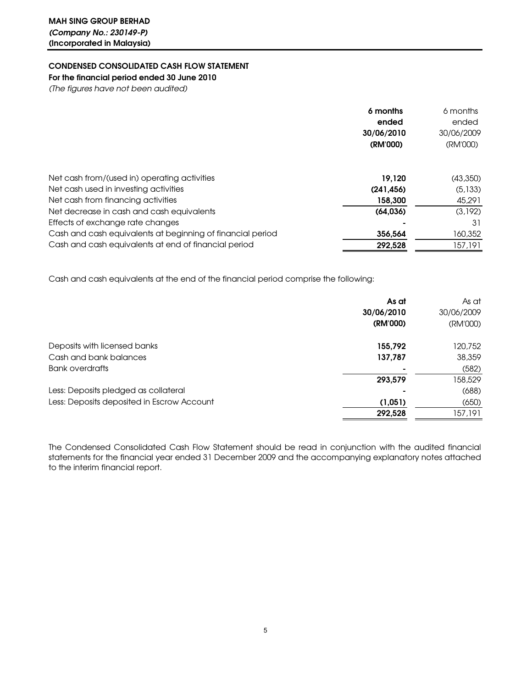## CONDENSED CONSOLIDATED CASH FLOW STATEMENT

For the financial period ended 30 June 2010

*(The figures have not been audited)*

|                                                            | 6 months   | 6 months   |
|------------------------------------------------------------|------------|------------|
|                                                            | ended      | ended      |
|                                                            | 30/06/2010 | 30/06/2009 |
|                                                            | (RM'000)   | (RM'000)   |
|                                                            |            |            |
| Net cash from/(used in) operating activities               | 19.120     | (43,350)   |
| Net cash used in investing activities                      | (241, 456) | (5, 133)   |
| Net cash from financing activities                         | 158.300    | 45.291     |
| Net decrease in cash and cash equivalents                  | (64, 036)  | (3,192)    |
| Effects of exchange rate changes                           |            | 31         |
| Cash and cash equivalents at beginning of financial period | 356,564    | 160,352    |
| Cash and cash equivalents at end of financial period       | 292,528    | 157,191    |

Cash and cash equivalents at the end of the financial period comprise the following:

|                                            | As at      | As at      |
|--------------------------------------------|------------|------------|
|                                            | 30/06/2010 | 30/06/2009 |
|                                            | (RM'000)   | (RM'000)   |
| Deposits with licensed banks               | 155,792    | 120,752    |
| Cash and bank balances                     | 137,787    | 38,359     |
| Bank overdrafts                            |            | (582)      |
|                                            | 293,579    | 158,529    |
| Less: Deposits pledged as collateral       |            | (688)      |
| Less: Deposits deposited in Escrow Account | (1,051)    | (650)      |
|                                            | 292,528    | 157,191    |

The Condensed Consolidated Cash Flow Statement should be read in conjunction with the audited financial statements for the financial year ended 31 December 2009 and the accompanying explanatory notes attached to the interim financial report.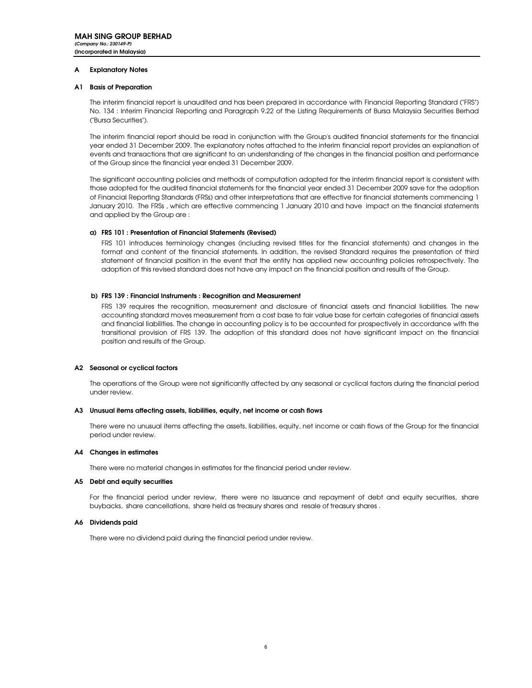#### A Explanatory Notes

#### A1 Basis of Preparation

The interim financial report is unaudited and has been prepared in accordance with Financial Reporting Standard ("FRS") No. 134 : Interim Financial Reporting and Paragraph 9.22 of the Listing Requirements of Bursa Malaysia Securities Berhad ("Bursa Securities").

The interim financial report should be read in conjunction with the Group's audited financial statements for the financial year ended 31 December 2009. The explanatory notes attached to the interim financial report provides an explanation of events and transactions that are significant to an understanding of the changes in the financial position and performance of the Group since the financial year ended 31 December 2009.

The significant accounting policies and methods of computation adopted for the interim financial report is consistent with those adopted for the audited financial statements for the financial year ended 31 December 2009 save for the adoption of Financial Reporting Standards (FRSs) and other interpretations that are effective for financial statements commencing 1 January 2010. The FRSs , which are effective commencing 1 January 2010 and have impact on the financial statements and applied by the Group are :

#### a) FRS 101 : Presentation of Financial Statements (Revised)

FRS 101 introduces terminology changes (including revised titles for the financial statements) and changes in the format and content of the financial statements. In addition, the revised Standard requires the presentation of third statement of financial position in the event that the entity has applied new accounting policies retrospectively. The adoption of this revised standard does not have any impact on the financial position and results of the Group.

#### b) FRS 139 : Financial Instruments : Recognition and Measurement

FRS 139 requires the recognition, measurement and disclosure of financial assets and financial liabilities. The new accounting standard moves measurement from a cost base to fair value base for certain categories of financial assets and financial liabilities. The change in accounting policy is to be accounted for prospectively in accordance with the transitional provision of FRS 139. The adoption of this standard does not have significant impact on the financial position and results of the Group.

#### A2 Seasonal or cyclical factors

The operations of the Group were not significantly affected by any seasonal or cyclical factors during the financial period under review.

#### A3 Unusual items affecting assets, liabilities, equity, net income or cash flows

There were no unusual items affecting the assets, liabilities, equity, net income or cash flows of the Group for the financial period under review.

#### A4 Changes in estimates

There were no material changes in estimates for the financial period under review.

#### A5 Debt and equity securities

For the financial period under review, there were no issuance and repayment of debt and equity securities, share buybacks, share cancellations, share held as treasury shares and resale of treasury shares .

#### A6 Dividends paid

There were no dividend paid during the financial period under review.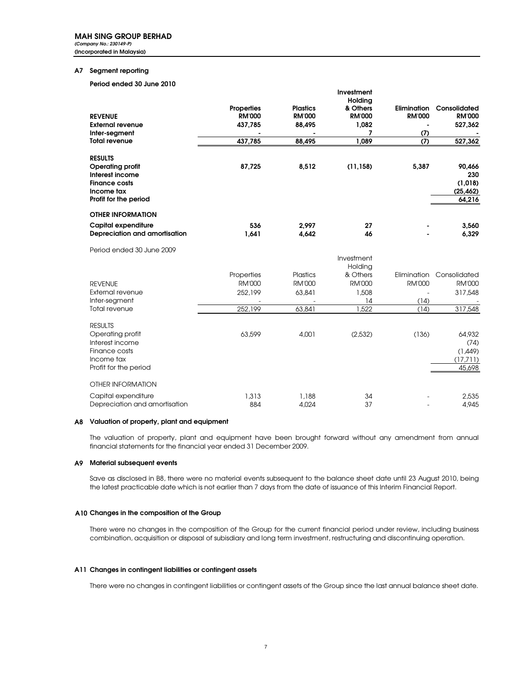*(Company No.: 230149-P)* (Incorporated in Malaysia)

#### A7 Segment reporting

#### Period ended 30 June 2010

|                                |                   |                 | Investment          |               |               |
|--------------------------------|-------------------|-----------------|---------------------|---------------|---------------|
|                                | <b>Properties</b> | <b>Plastics</b> | Holding<br>& Others | Elimination   | Consolidated  |
| <b>REVENUE</b>                 | <b>RM'000</b>     | <b>RM'000</b>   | <b>RM'000</b>       | <b>RM'000</b> | <b>RM'000</b> |
| <b>External revenue</b>        | 437,785           | 88,495          | 1,082               |               | 527,362       |
| Inter-segment                  |                   |                 | 7                   | (7)           |               |
| <b>Total revenue</b>           | 437,785           | 88,495          | 1,089               | (7)           | 527,362       |
| <b>RESULTS</b>                 |                   |                 |                     |               |               |
| <b>Operating profit</b>        | 87,725            | 8,512           | (11, 158)           | 5,387         | 90,466        |
| Interest income                |                   |                 |                     |               | 230           |
| <b>Finance costs</b>           |                   |                 |                     |               | (1, 018)      |
| Income tax                     |                   |                 |                     |               | (25, 462)     |
| Profit for the period          |                   |                 |                     |               | 64,216        |
| <b>OTHER INFORMATION</b>       |                   |                 |                     |               |               |
| Capital expenditure            | 536               | 2,997           | 27                  |               | 3,560         |
| Depreciation and amortisation  | 1,641             | 4,642           | 46                  |               | 6,329         |
| Period ended 30 June 2009      |                   |                 |                     |               |               |
|                                |                   |                 | Investment          |               |               |
|                                |                   |                 | Holding             |               |               |
|                                | Properties        | <b>Plastics</b> | & Others            | Elimination   | Consolidated  |
| <b>REVENUE</b>                 | <b>RM'000</b>     | <b>RM'000</b>   | <b>RM'000</b>       | <b>RM'000</b> | <b>RM'000</b> |
| External revenue               | 252,199           | 63,841          | 1,508               |               | 317,548       |
| Inter-segment<br>Total revenue | 252,199           | 63,841          | 14<br>1,522         | (14)<br>(14)  | 317,548       |
|                                |                   |                 |                     |               |               |
| <b>RESULTS</b>                 |                   |                 |                     |               |               |
| Operating profit               | 63,599            | 4,001           | (2,532)             | (136)         | 64,932        |
| Interest income                |                   |                 |                     |               | (74)          |
| Finance costs                  |                   |                 |                     |               | (1,449)       |
| Income tax                     |                   |                 |                     |               | (17,711)      |
| Profit for the period          |                   |                 |                     |               | 45,698        |
| <b>OTHER INFORMATION</b>       |                   |                 |                     |               |               |
| Capital expenditure            | 1,313             | 1,188           | 34                  |               | 2.535         |
| Depreciation and amortisation  | 884               | 4.024           | 37                  |               | 4,945         |

#### A8 Valuation of property, plant and equipment

The valuation of property, plant and equipment have been brought forward without any amendment from annual financial statements for the financial year ended 31 December 2009.

#### A9 Material subsequent events

Save as disclosed in B8, there were no material events subsequent to the balance sheet date until 23 August 2010, being the latest practicable date which is not earlier than 7 days from the date of issuance of this Interim Financial Report.

#### A10 Changes in the composition of the Group

There were no changes in the composition of the Group for the current financial period under review, including business combination, acquisition or disposal of subisdiary and long term investment, restructuring and discontinuing operation.

#### A11 Changes in contingent liabilities or contingent assets

There were no changes in contingent liabilities or contingent assets of the Group since the last annual balance sheet date.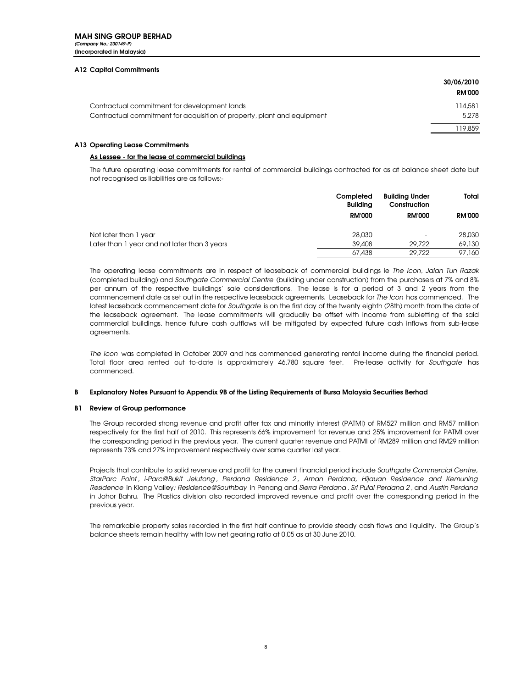#### A12 Capital Commitments

|                                                                         | 30/06/2010<br><b>RM'000</b> |
|-------------------------------------------------------------------------|-----------------------------|
| Contractual commitment for development lands                            | 114.581                     |
| Contractual commitment for acquisition of property, plant and equipment | 5,278                       |
|                                                                         | 19,859                      |

#### A13 Operating Lease Commitments

#### As Lessee - for the lease of commercial buildings

The future operating lease commitments for rental of commercial buildings contracted for as at balance sheet date but not recognised as liabilities are as follows:-

|                                              | Completed<br><b>Buildina</b> | <b>Building Under</b><br>Construction | Total         |
|----------------------------------------------|------------------------------|---------------------------------------|---------------|
|                                              | <b>RM'000</b>                | <b>RM'000</b>                         | <b>RM'000</b> |
| Not later than 1 year                        | 28,030                       | -                                     | 28,030        |
| Later than 1 year and not later than 3 years | 39,408                       | 29,722                                | 69,130        |
|                                              | 67,438                       | 29,722                                | 97.160        |

The operating lease commitments are in respect of leaseback of commercial buildings ie *The Icon, Jalan Tun Razak* (completed building) and *Southgate Commercial Centre* (building under construction) from the purchasers at 7% and 8% per annum of the respective buildings' sale considerations. The lease is for a period of 3 and 2 years from the commencement date as set out in the respective leaseback agreements. Leaseback for *The Icon* has commenced. The latest leaseback commencement date for *Southgate* is on the first day of the twenty eighth (28th) month from the date of the leaseback agreement. The lease commitments will gradually be offset with income from subletting of the said commercial buildings, hence future cash outflows will be mitigated by expected future cash inflows from sub-lease agreements.

*The Icon* was completed in October 2009 and has commenced generating rental income during the financial period. Total floor area rented out to-date is approximately 46,780 square feet. Pre-lease activity for *Southgate* has commenced.

#### B Explanatory Notes Pursuant to Appendix 9B of the Listing Requirements of Bursa Malaysia Securities Berhad

#### B1 Review of Group performance

The Group recorded strong revenue and profit after tax and minority interest (PATMI) of RM527 million and RM57 million respectively for the first half of 2010. This represents 66% improvement for revenue and 25% improvement for PATMI over the corresponding period in the previous year. The current quarter revenue and PATMI of RM289 million and RM29 million represents 73% and 27% improvement respectively over same quarter last year.

Projects that contribute to solid revenue and profit for the current financial period include *Southgate Commercial Centre, StarParc Point* , *i-Parc@Bukit Jelutong* , *Perdana Residence 2* , *Aman Perdana, Hijauan Residence and Kemuning Residence* in Klang Valley*; Residence@Southbay* in Penang and *Sierra Perdana* , *Sri Pulai Perdana 2* , and *Austin Perdana* in Johor Bahru. The Plastics division also recorded improved revenue and profit over the corresponding period in the previous year.

The remarkable property sales recorded in the first half continue to provide steady cash flows and liquidity. The Group's balance sheets remain healthy with low net gearing ratio at 0.05 as at 30 June 2010.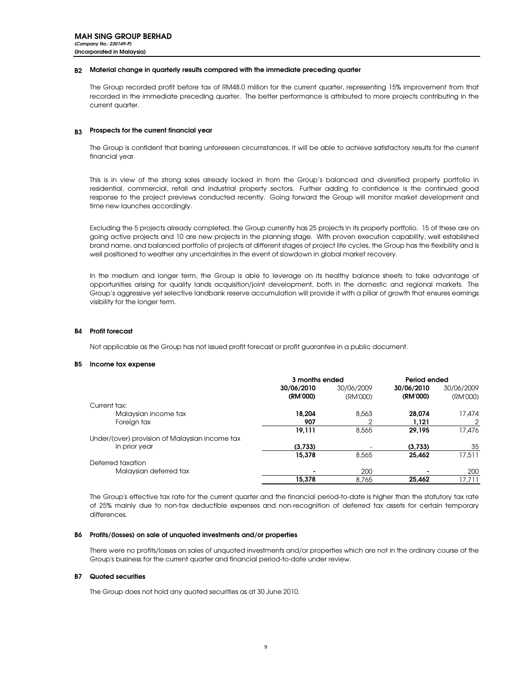#### B2 Material change in quarterly results compared with the immediate preceding quarter

The Group recorded profit before tax of RM48.0 million for the current quarter, representing 15% improvement from that recorded in the immediate preceding quarter. The better performance is attributed to more projects contributing in the current quarter.

### B3 Prospects for the current financial year

The Group is confident that barring unforeseen circumstances, it will be able to achieve satisfactory results for the current financial year.

This is in view of the strong sales already locked in from the Group's balanced and diversified property portfolio in residential, commercial, retail and industrial property sectors. Further adding to confidence is the continued good response to the project previews conducted recently. Going forward the Group will monitor market development and time new launches accordingly.

Excluding the 5 projects already completed, the Group currently has 25 projects in its property portfolio. 15 of these are ongoing active projects and 10 are new projects in the planning stage. With proven execution capability, well established brand name, and balanced portfolio of projects at different stages of project life cycles, the Group has the flexibility and is well positioned to weather any uncertainties in the event of slowdown in global market recovery.

In the medium and longer term, the Group is able to leverage on its healthy balance sheets to take advantage of opportunities arising for quality lands acquisition/joint development, both in the domestic and regional markets. The Group's aggressive yet selective landbank reserve accumulation will provide it with a pillar of growth that ensures earnings visibility for the longer term.

#### B4 Profit forecast

Not applicable as the Group has not issued profit forecast or profit guarantee in a public document.

#### B5 Income tax expense

|                                                | 3 months ended           |            | Period ended |            |
|------------------------------------------------|--------------------------|------------|--------------|------------|
|                                                | 30/06/2010               | 30/06/2009 | 30/06/2010   | 30/06/2009 |
|                                                | (RM'000)                 | (RM'000)   | (RM'000)     | (RM'000)   |
| Current tax:                                   |                          |            |              |            |
| Malaysian income tax                           | 18.204                   | 8,563      | 28,074       | 17.474     |
| Foreign tax                                    | 907                      | ≘          | 1.121        | 2          |
|                                                | 19,111                   | 8,565      | 29,195       | 17,476     |
| Under/(over) provision of Malaysian income tax |                          |            |              |            |
| in prior year                                  | (3,733)                  |            | (3,733)      | 35         |
|                                                | 15,378                   | 8,565      | 25,462       | 17.511     |
| Deferred taxation                              |                          |            |              |            |
| Malaysian deferred tax                         | $\overline{\phantom{0}}$ | 200        |              | 200        |
|                                                | 15,378                   | 8,765      | 25,462       | 17.711     |

The Group's effective tax rate for the current quarter and the financial period-to-date is higher than the statutory tax rate of 25% mainly due to non-tax deductible expenses and non-recognition of deferred tax assets for certain temporary differences.

#### B6 Profits/(losses) on sale of unquoted investments and/or properties

There were no profits/losses on sales of unquoted investments and/or properties which are not in the ordinary course of the Group's business for the current quarter and financial period-to-date under review.

#### B7 Quoted securities

The Group does not hold any quoted securities as at 30 June 2010.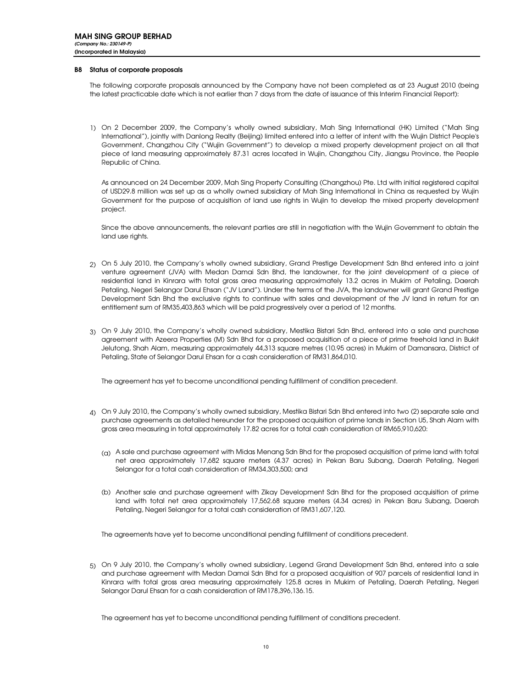#### B8 Status of corporate proposals

The following corporate proposals announced by the Company have not been completed as at 23 August 2010 (being the latest practicable date which is not earlier than 7 days from the date of issuance of this Interim Financial Report):

1) On 2 December 2009, the Company's wholly owned subsidiary, Mah Sing International (HK) Limited ("Mah Sing International"), jointly with Danlong Realty (Beijing) limited entered into a letter of intent with the Wujin District People's Government, Changzhou City ("Wujin Government") to develop a mixed property development project on all that piece of land measuring approximately 87.31 acres located in Wujin, Changzhou City, Jiangsu Province, the People Republic of China.

As announced on 24 December 2009, Mah Sing Property Consulting (Changzhou) Pte. Ltd with initial registered capital of USD29.8 million was set up as a wholly owned subsidiary of Mah Sing International in China as requested by Wujin Government for the purpose of acquisition of land use rights in Wujin to develop the mixed property development project.

Since the above announcements, the relevant parties are still in negotiation with the Wujin Government to obtain the land use rights.

- 2) On 5 July 2010, the Company's wholly owned subsidiary, Grand Prestige Development Sdn Bhd entered into a joint venture agreement (JVA) with Medan Damai Sdn Bhd, the landowner, for the joint development of a piece of residential land in Kinrara with total gross area measuring approximately 13.2 acres in Mukim of Petaling, Daerah Petaling, Negeri Selangor Darul Ehsan ("JV Land"). Under the terms of the JVA, the landowner will grant Grand Prestige Development Sdn Bhd the exclusive rights to continue with sales and development of the JV land in return for an entitlement sum of RM35,403,863 which will be paid progressively over a period of 12 months.
- 3) On 9 July 2010, the Company's wholly owned subsidiary, Mestika Bistari Sdn Bhd, entered into a sale and purchase agreement with Azeera Properties (M) Sdn Bhd for a proposed acquisition of a piece of prime freehold land in Bukit Jelutong, Shah Alam, measuring approximately 44,313 square metres (10.95 acres) in Mukim of Damansara, District of Petaling, State of Selangor Darul Ehsan for a cash consideration of RM31,864,010.

The agreement has yet to become unconditional pending fulfillment of condition precedent.

- $_4$ ) On 9 July 2010, the Company's wholly owned subsidiary, Mestika Bistari Sdn Bhd entered into two (2) separate sale and purchase agreements as detailed hereunder for the proposed acquisition of prime lands in Section U5, Shah Alam with gross area measuring in total approximately 17.82 acres for a total cash consideration of RM65,910,620:
	- $_{\rm (q)}$  A sale and purchase agreement with Midas Menang Sdn Bhd for the proposed acquisition of prime land with total net area approximately 17,682 square meters (4.37 acres) in Pekan Baru Subang, Daerah Petaling, Negeri Selangor for a total cash consideration of RM34,303,500; and
	- (b) Another sale and purchase agreement with Zikay Development Sdn Bhd for the proposed acquisition of prime land with total net area approximately 17,562.68 square meters (4.34 acres) in Pekan Baru Subang, Daerah Petaling, Negeri Selangor for a total cash consideration of RM31,607,120.

The agreements have yet to become unconditional pending fulfillment of conditions precedent.

5) On 9 July 2010, the Company's wholly owned subsidiary, Legend Grand Development Sdn Bhd, entered into a sale and purchase agreement with Medan Damai Sdn Bhd for a proposed acquisition of 907 parcels of residential land in Kinrara with total gross area measuring approximately 125.8 acres in Mukim of Petaling, Daerah Petaling, Negeri Selangor Darul Ehsan for a cash consideration of RM178,396,136.15.

The agreement has yet to become unconditional pending fulfillment of conditions precedent.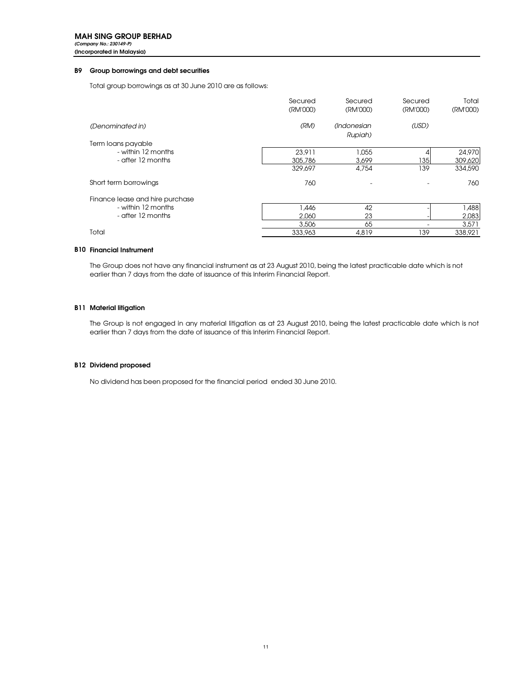*(Company No.: 230149-P)* (Incorporated in Malaysia)

#### B9 Group borrowings and debt securities

Total group borrowings as at 30 June 2010 are as follows:

|                                 | Secured<br>(RM'000) | Secured<br>(RM'000)    | Secured<br>(RM'000) | Total<br>(RM'000) |
|---------------------------------|---------------------|------------------------|---------------------|-------------------|
| (Denominated in)                | (RM)                | (Indonesian<br>Rupiah) | (USD)               |                   |
| Term Ioans payable              |                     |                        |                     |                   |
| - within 12 months              | 23,911              | 1,055                  | 4                   | 24,970            |
| - after 12 months               | 305,786             | 3,699                  | 1351                | 309,620           |
|                                 | 329,697             | 4,754                  | 139                 | 334,590           |
| Short term borrowings           | 760                 |                        |                     | 760               |
| Finance lease and hire purchase |                     |                        |                     |                   |
| - within 12 months              | <b>A46</b>          | 42                     |                     | 1,488             |
| - after 12 months               | 2.060               | 23                     |                     | 2,083             |
|                                 | 3,506               | 65                     |                     | 3,571             |
| Total                           | 333,963             | 4,819                  | 139                 | 338,921           |

#### B10 Financial Instrument

The Group does not have any financial instrument as at 23 August 2010, being the latest practicable date which is not earlier than 7 days from the date of issuance of this Interim Financial Report.

#### B11 Material litigation

The Group is not engaged in any material litigation as at 23 August 2010, being the latest practicable date which is not earlier than 7 days from the date of issuance of this Interim Financial Report.

#### B12 Dividend proposed

No dividend has been proposed for the financial period ended 30 June 2010.